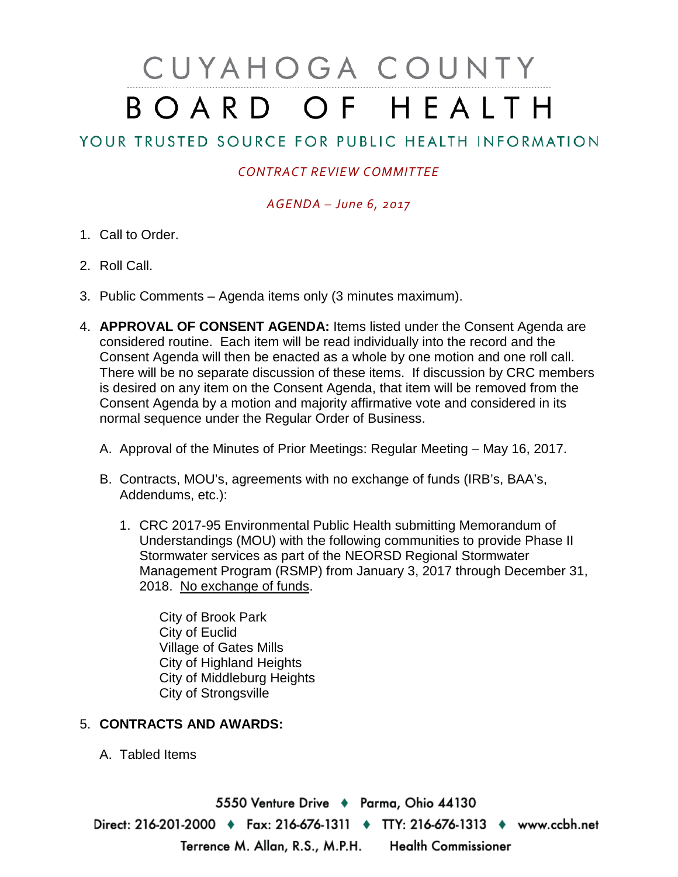# CUYAHOGA COUNTY BOARD OF HEALTH

# YOUR TRUSTED SOURCE FOR PUBLIC HEALTH INFORMATION

## *CONTRACT REVIEW COMMITTEE*

### *AGENDA – June 6, 2017*

- 1. Call to Order.
- 2. Roll Call.
- 3. Public Comments Agenda items only (3 minutes maximum).
- 4. **APPROVAL OF CONSENT AGENDA:** Items listed under the Consent Agenda are considered routine. Each item will be read individually into the record and the Consent Agenda will then be enacted as a whole by one motion and one roll call. There will be no separate discussion of these items. If discussion by CRC members is desired on any item on the Consent Agenda, that item will be removed from the Consent Agenda by a motion and majority affirmative vote and considered in its normal sequence under the Regular Order of Business.
	- A. Approval of the Minutes of Prior Meetings: Regular Meeting May 16, 2017.
	- B. Contracts, MOU's, agreements with no exchange of funds (IRB's, BAA's, Addendums, etc.):
		- 1. CRC 2017-95 Environmental Public Health submitting Memorandum of Understandings (MOU) with the following communities to provide Phase II Stormwater services as part of the NEORSD Regional Stormwater Management Program (RSMP) from January 3, 2017 through December 31, 2018. No exchange of funds.

City of Brook Park City of Euclid Village of Gates Mills City of Highland Heights City of Middleburg Heights City of Strongsville

### 5. **CONTRACTS AND AWARDS:**

A. Tabled Items

5550 Venture Drive + Parma, Ohio 44130 Direct: 216-201-2000 • Fax: 216-676-1311 • TTY: 216-676-1313 • www.ccbh.net Terrence M. Allan, R.S., M.P.H. Health Commissioner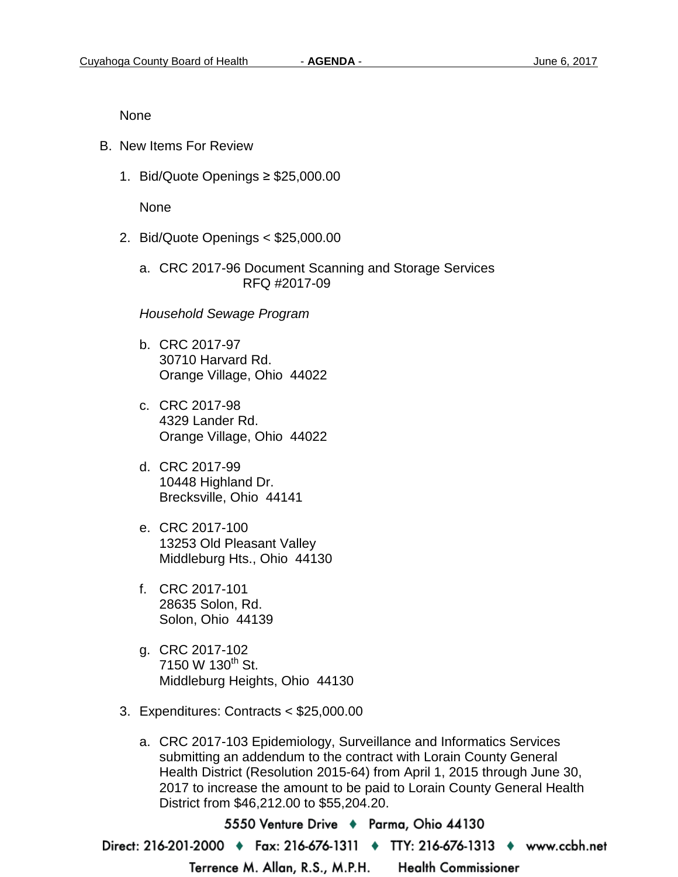None

- B. New Items For Review
	- 1. Bid/Quote Openings ≥ \$25,000.00

None

- 2. Bid/Quote Openings < \$25,000.00
	- a. CRC 2017-96 Document Scanning and Storage Services RFQ #2017-09

*Household Sewage Program*

- b. CRC 2017-97 30710 Harvard Rd. Orange Village, Ohio 44022
- c. CRC 2017-98 4329 Lander Rd. Orange Village, Ohio 44022
- d. CRC 2017-99 10448 Highland Dr. Brecksville, Ohio 44141
- e. CRC 2017-100 13253 Old Pleasant Valley Middleburg Hts., Ohio 44130
- f. CRC 2017-101 28635 Solon, Rd. Solon, Ohio 44139
- g. CRC 2017-102 7150 W 130<sup>th</sup> St. Middleburg Heights, Ohio 44130
- 3. Expenditures: Contracts < \$25,000.00
	- a. CRC 2017-103 Epidemiology, Surveillance and Informatics Services submitting an addendum to the contract with Lorain County General Health District (Resolution 2015-64) from April 1, 2015 through June 30, 2017 to increase the amount to be paid to Lorain County General Health District from \$46,212.00 to \$55,204.20.

5550 Venture Drive + Parma, Ohio 44130 Direct: 216-201-2000 ♦ Fax: 216-676-1311 ♦ TTY: 216-676-1313 ♦ www.ccbh.net Terrence M. Allan, R.S., M.P.H. **Health Commissioner**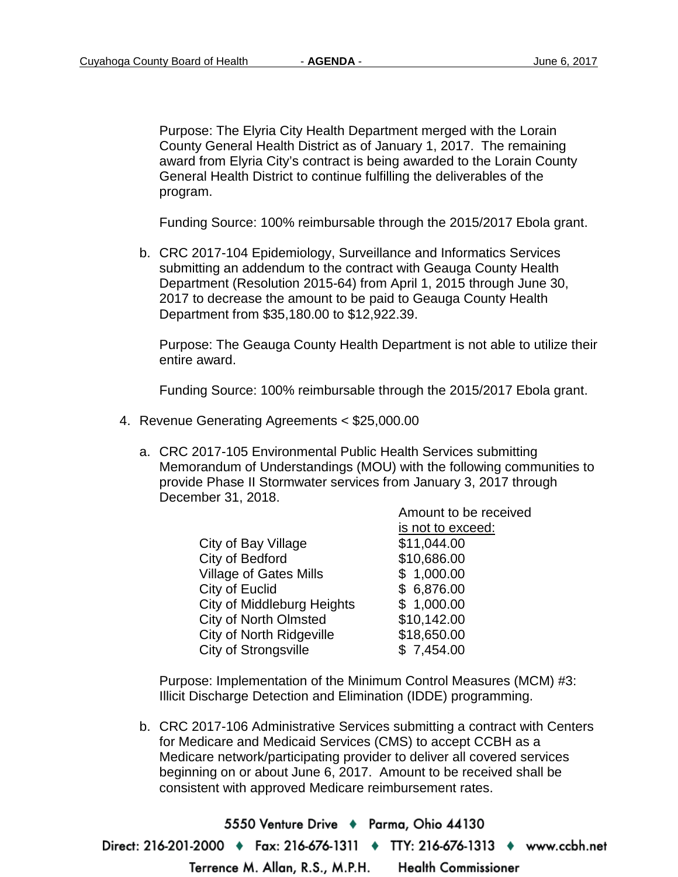Purpose: The Elyria City Health Department merged with the Lorain County General Health District as of January 1, 2017. The remaining award from Elyria City's contract is being awarded to the Lorain County General Health District to continue fulfilling the deliverables of the program.

Funding Source: 100% reimbursable through the 2015/2017 Ebola grant.

b. CRC 2017-104 Epidemiology, Surveillance and Informatics Services submitting an addendum to the contract with Geauga County Health Department (Resolution 2015-64) from April 1, 2015 through June 30, 2017 to decrease the amount to be paid to Geauga County Health Department from \$35,180.00 to \$12,922.39.

Purpose: The Geauga County Health Department is not able to utilize their entire award.

Funding Source: 100% reimbursable through the 2015/2017 Ebola grant.

- 4. Revenue Generating Agreements < \$25,000.00
	- a. CRC 2017-105 Environmental Public Health Services submitting Memorandum of Understandings (MOU) with the following communities to provide Phase II Stormwater services from January 3, 2017 through December 31, 2018.

|                                   | Amount to be received |
|-----------------------------------|-----------------------|
|                                   | is not to exceed:     |
| City of Bay Village               | \$11,044.00           |
| City of Bedford                   | \$10,686.00           |
| <b>Village of Gates Mills</b>     | \$1,000.00            |
| City of Euclid                    | \$6,876.00            |
| <b>City of Middleburg Heights</b> | \$1,000.00            |
| <b>City of North Olmsted</b>      | \$10,142.00           |
| <b>City of North Ridgeville</b>   | \$18,650.00           |
| <b>City of Strongsville</b>       | \$7,454.00            |

Purpose: Implementation of the Minimum Control Measures (MCM) #3: Illicit Discharge Detection and Elimination (IDDE) programming.

b. CRC 2017-106 Administrative Services submitting a contract with Centers for Medicare and Medicaid Services (CMS) to accept CCBH as a Medicare network/participating provider to deliver all covered services beginning on or about June 6, 2017. Amount to be received shall be consistent with approved Medicare reimbursement rates.

5550 Venture Drive + Parma, Ohio 44130 Direct: 216-201-2000 ♦ Fax: 216-676-1311 ♦ TTY: 216-676-1313 ♦ www.ccbh.net Terrence M. Allan, R.S., M.P.H. **Health Commissioner**